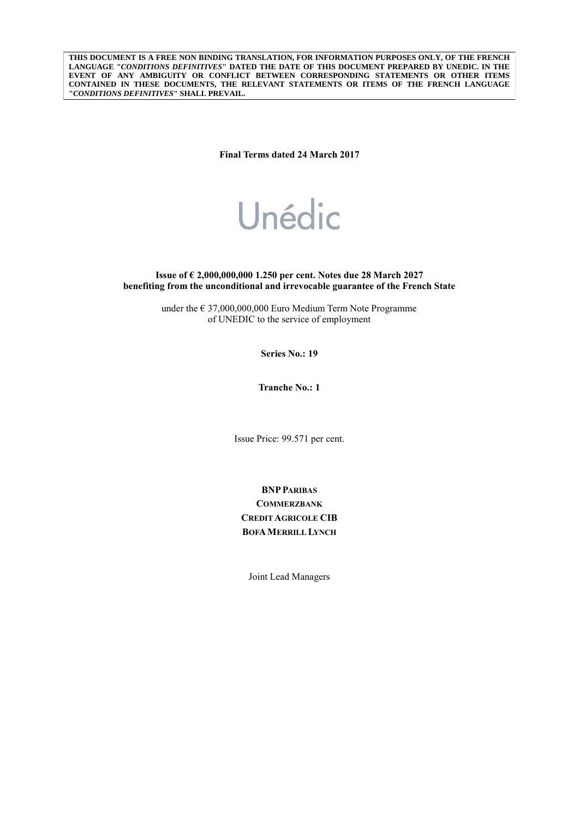**THIS DOCUMENT IS A FREE NON BINDING TRANSLATION, FOR INFORMATION PURPOSES ONLY, OF THE FRENCH LANGUAGE "***CONDITIONS DEFINITIVES***" DATED THE DATE OF THIS DOCUMENT PREPARED BY UNEDIC. IN THE EVENT OF ANY AMBIGUITY OR CONFLICT BETWEEN CORRESPONDING STATEMENTS OR OTHER ITEMS CONTAINED IN THESE DOCUMENTS, THE RELEVANT STATEMENTS OR ITEMS OF THE FRENCH LANGUAGE "***CONDITIONS DEFINITIVES***" SHALL PREVAIL.**

**Final Terms dated 24 March 2017**

# Unédic

**Issue of € 2,000,000,000 1.250 per cent. Notes due 28 March 2027 benefiting from the unconditional and irrevocable guarantee of the French State**

> under the € 37,000,000,000 Euro Medium Term Note Programme of UNEDIC to the service of employment

> > **Series No.: 19**

**Tranche No.: 1**

Issue Price: 99.571 per cent.

**BNPPARIBAS COMMERZBANK CREDIT AGRICOLE CIB BOFAMERRILL LYNCH**

Joint Lead Managers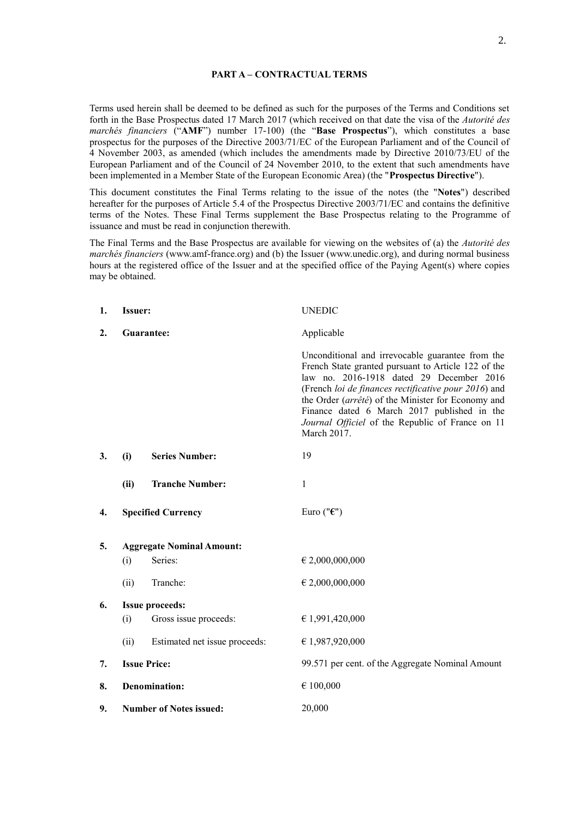#### **PART A – CONTRACTUAL TERMS**

Terms used herein shall be deemed to be defined as such for the purposes of the Terms and Conditions set forth in the Base Prospectus dated 17 March 2017 (which received on that date the visa of the *Autorité des marchés financiers* ("**AMF**") number 17-100) (the "**Base Prospectus**"), which constitutes a base prospectus for the purposes of the Directive 2003/71/EC of the European Parliament and of the Council of 4 November 2003, as amended (which includes the amendments made by Directive 2010/73/EU of the European Parliament and of the Council of 24 November 2010, to the extent that such amendments have been implemented in a Member State of the European Economic Area) (the "**Prospectus Directive**").

This document constitutes the Final Terms relating to the issue of the notes (the "**Notes**") described hereafter for the purposes of Article 5.4 of the Prospectus Directive 2003/71/EC and contains the definitive terms of the Notes. These Final Terms supplement the Base Prospectus relating to the Programme of issuance and must be read in conjunction therewith.

The Final Terms and the Base Prospectus are available for viewing on the websites of (a) the *Autorité des marchés financiers* (www.amf-france.org) and (b) the Issuer (www.unedic.org), and during normal business hours at the registered office of the Issuer and at the specified office of the Paying Agent(s) where copies may be obtained.

| 1. | <b>Issuer:</b>                 |                                  | <b>UNEDIC</b>                                                                                                                                                                                                                                                                                                                                                                       |
|----|--------------------------------|----------------------------------|-------------------------------------------------------------------------------------------------------------------------------------------------------------------------------------------------------------------------------------------------------------------------------------------------------------------------------------------------------------------------------------|
| 2. |                                | Guarantee:                       | Applicable                                                                                                                                                                                                                                                                                                                                                                          |
|    |                                |                                  | Unconditional and irrevocable guarantee from the<br>French State granted pursuant to Article 122 of the<br>law no. 2016-1918 dated 29 December 2016<br>(French loi de finances rectificative pour 2016) and<br>the Order (arrêté) of the Minister for Economy and<br>Finance dated 6 March 2017 published in the<br>Journal Officiel of the Republic of France on 11<br>March 2017. |
| 3. | (i)                            | <b>Series Number:</b>            | 19                                                                                                                                                                                                                                                                                                                                                                                  |
|    | (ii)                           | <b>Tranche Number:</b>           | 1                                                                                                                                                                                                                                                                                                                                                                                   |
| 4. |                                | <b>Specified Currency</b>        | Euro (" $\epsilon$ ")                                                                                                                                                                                                                                                                                                                                                               |
| 5. |                                | <b>Aggregate Nominal Amount:</b> |                                                                                                                                                                                                                                                                                                                                                                                     |
|    | (i)                            | Series:                          | € 2,000,000,000                                                                                                                                                                                                                                                                                                                                                                     |
|    | (ii)                           | Tranche:                         | € 2,000,000,000                                                                                                                                                                                                                                                                                                                                                                     |
| 6. |                                | <b>Issue proceeds:</b>           |                                                                                                                                                                                                                                                                                                                                                                                     |
|    | (i)                            | Gross issue proceeds:            | € 1,991,420,000                                                                                                                                                                                                                                                                                                                                                                     |
|    | (ii)                           | Estimated net issue proceeds:    | € 1,987,920,000                                                                                                                                                                                                                                                                                                                                                                     |
| 7. |                                | <b>Issue Price:</b>              | 99.571 per cent. of the Aggregate Nominal Amount                                                                                                                                                                                                                                                                                                                                    |
| 8. |                                | <b>Denomination:</b>             | € 100,000                                                                                                                                                                                                                                                                                                                                                                           |
| 9. | <b>Number of Notes issued:</b> |                                  | 20,000                                                                                                                                                                                                                                                                                                                                                                              |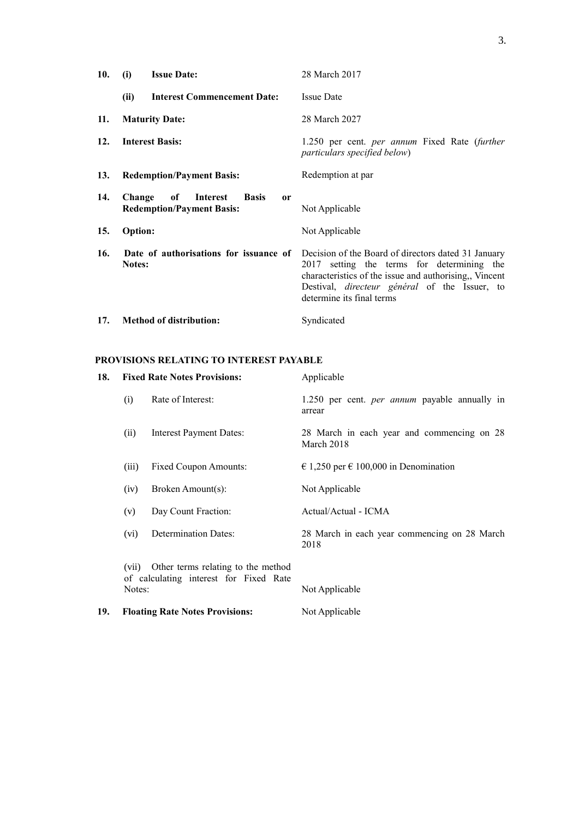| 10. | <b>Issue Date:</b><br>(i)                                                                     | 28 March 2017                                                                                                                                                                                                                                    |
|-----|-----------------------------------------------------------------------------------------------|--------------------------------------------------------------------------------------------------------------------------------------------------------------------------------------------------------------------------------------------------|
|     | (ii)<br><b>Interest Commencement Date:</b>                                                    | <b>Issue Date</b>                                                                                                                                                                                                                                |
| 11. | <b>Maturity Date:</b>                                                                         | 28 March 2027                                                                                                                                                                                                                                    |
| 12. | <b>Interest Basis:</b>                                                                        | 1.250 per cent. <i>per annum</i> Fixed Rate ( <i>further</i><br>particulars specified below)                                                                                                                                                     |
| 13. | <b>Redemption/Payment Basis:</b>                                                              | Redemption at par                                                                                                                                                                                                                                |
| 14. | Change<br>of<br>Interest<br><b>Basis</b><br><sub>or</sub><br><b>Redemption/Payment Basis:</b> | Not Applicable                                                                                                                                                                                                                                   |
| 15. | <b>Option:</b>                                                                                | Not Applicable                                                                                                                                                                                                                                   |
| 16. | Date of authorisations for issuance of<br>Notes:                                              | Decision of the Board of directors dated 31 January<br>2017 setting the terms for determining the<br>characteristics of the issue and authorising,, Vincent<br>Destival, <i>directeur</i> général of the Issuer, to<br>determine its final terms |
| 17. | <b>Method of distribution:</b>                                                                | Syndicated                                                                                                                                                                                                                                       |

# **PROVISIONS RELATING TO INTEREST PAYABLE**

| 18. |        | <b>Fixed Rate Notes Provisions:</b>                                                | Applicable                                                     |
|-----|--------|------------------------------------------------------------------------------------|----------------------------------------------------------------|
|     | (i)    | Rate of Interest:                                                                  | 1.250 per cent. <i>per annum</i> payable annually in<br>arrear |
|     | (ii)   | <b>Interest Payment Dates:</b>                                                     | 28 March in each year and commencing on 28<br>March 2018       |
|     | (iii)  | <b>Fixed Coupon Amounts:</b>                                                       | € 1,250 per € 100,000 in Denomination                          |
|     | (iv)   | Broken Amount(s):                                                                  | Not Applicable                                                 |
|     | (v)    | Day Count Fraction:                                                                | Actual/Actual - ICMA                                           |
|     | (vi)   | <b>Determination Dates:</b>                                                        | 28 March in each year commencing on 28 March<br>2018           |
|     | Notes: | (vii) Other terms relating to the method<br>of calculating interest for Fixed Rate | Not Applicable                                                 |
| 19. |        | <b>Floating Rate Notes Provisions:</b>                                             | Not Applicable                                                 |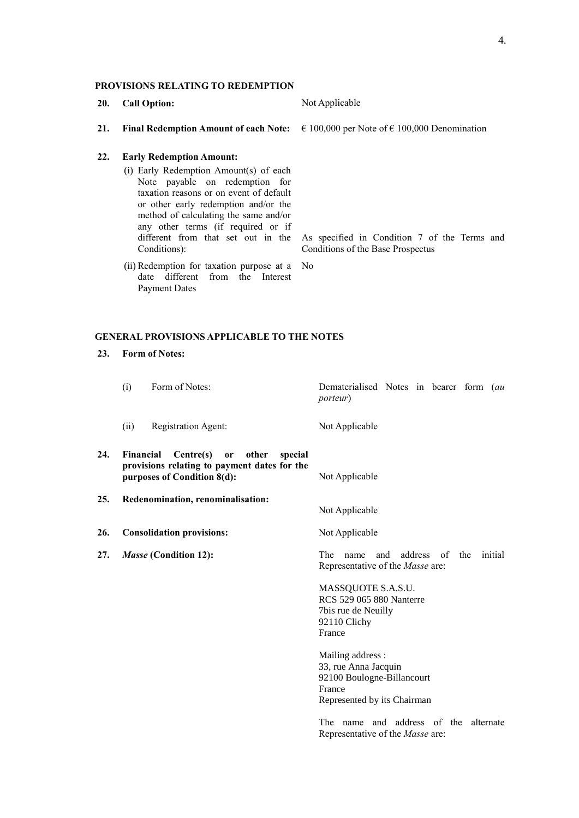# **PROVISIONS RELATING TO REDEMPTION**

- **20. Call Option:** Not Applicable
- **21. Final Redemption Amount of each Note:** € 100,000 per Note of € 100,000 Denomination

# **22. Early Redemption Amount:**

- (i) Early Redemption Amount(s) of each Note payable on redemption for taxation reasons or on event of default or other early redemption and/or the method of calculating the same and/or any other terms (if required or if different from that set out in the Conditions):
- (ii) Redemption for taxation purpose at a No date different from the Interest Payment Dates

As specified in Condition 7 of the Terms and Conditions of the Base Prospectus

# **GENERAL PROVISIONS APPLICABLE TO THE NOTES**

**23. Form of Notes:**

|     | (i)                                                                   | Form of Notes:                                                                                                     | Dematerialised Notes in bearer form (au<br><i>porteur</i> )                                                      |
|-----|-----------------------------------------------------------------------|--------------------------------------------------------------------------------------------------------------------|------------------------------------------------------------------------------------------------------------------|
|     | (ii)                                                                  | Registration Agent:                                                                                                | Not Applicable                                                                                                   |
| 24. | Financial                                                             | Centre(s)<br>other<br>special<br>or<br>provisions relating to payment dates for the<br>purposes of Condition 8(d): | Not Applicable                                                                                                   |
| 25. | Redenomination, renominalisation:<br><b>Consolidation provisions:</b> |                                                                                                                    | Not Applicable                                                                                                   |
| 26. |                                                                       |                                                                                                                    | Not Applicable                                                                                                   |
| 27. |                                                                       | Masse (Condition 12):                                                                                              | The<br>address of<br>and<br>the<br>initial<br>name<br>Representative of the <i>Masse</i> are:                    |
|     |                                                                       |                                                                                                                    | MASSQUOTE S.A.S.U.<br><b>RCS 529 065 880 Nanterre</b><br>7bis rue de Neuilly<br>92110 Clichy<br>France           |
|     |                                                                       |                                                                                                                    | Mailing address :<br>33, rue Anna Jacquin<br>92100 Boulogne-Billancourt<br>France<br>Represented by its Chairman |
|     |                                                                       |                                                                                                                    | and address of the<br>The<br>alternate<br>name<br>Representative of the <i>Masse</i> are:                        |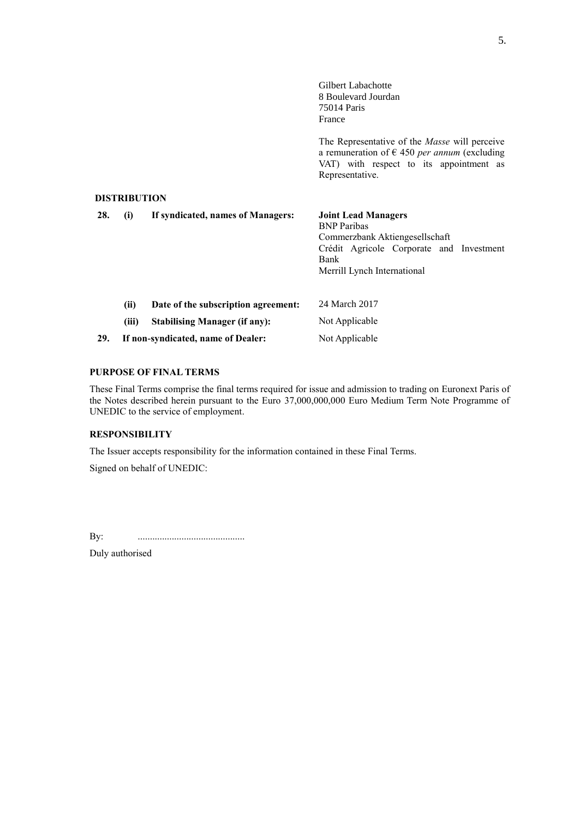|     |                     |                                      | Gilbert Labachotte<br>8 Boulevard Jourdan<br>75014 Paris<br>France                                                                                                                 |
|-----|---------------------|--------------------------------------|------------------------------------------------------------------------------------------------------------------------------------------------------------------------------------|
|     |                     |                                      | The Representative of the <i>Masse</i> will perceive<br>a remuneration of $\epsilon$ 450 <i>per annum</i> (excluding<br>VAT) with respect to its appointment as<br>Representative. |
|     | <b>DISTRIBUTION</b> |                                      |                                                                                                                                                                                    |
| 28. | (i)                 | If syndicated, names of Managers:    | <b>Joint Lead Managers</b><br><b>BNP</b> Paribas<br>Commerzbank Aktiengesellschaft<br>Crédit Agricole Corporate and Investment<br><b>Bank</b><br>Merrill Lynch International       |
|     | (ii)                | Date of the subscription agreement:  | 24 March 2017                                                                                                                                                                      |
|     | (iii)               | <b>Stabilising Manager (if any):</b> | Not Applicable                                                                                                                                                                     |
| 29. |                     | If non-syndicated, name of Dealer:   | Not Applicable                                                                                                                                                                     |

#### **PURPOSE OF FINAL TERMS**

These Final Terms comprise the final terms required for issue and admission to trading on Euronext Paris of the Notes described herein pursuant to the Euro 37,000,000,000 Euro Medium Term Note Programme of UNEDIC to the service of employment.

## **RESPONSIBILITY**

The Issuer accepts responsibility for the information contained in these Final Terms.

Signed on behalf of UNEDIC:

By: ............................................

Duly authorised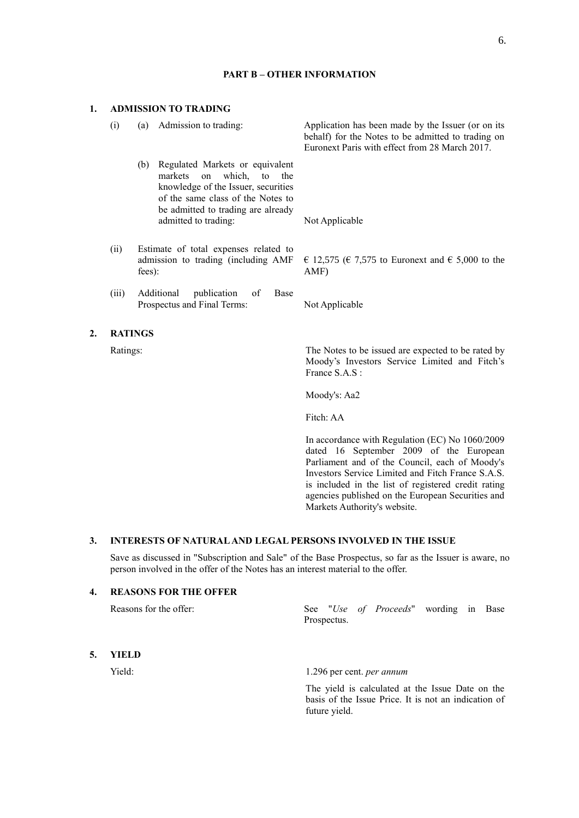(i) (a) Admission to trading: Application has been made by the Issuer (or on its

#### **1. ADMISSION TO TRADING**

|       |                                                                                                                                                                                                              | behalf) for the Notes to be admitted to trading on<br>Euronext Paris with effect from 28 March 2017. |
|-------|--------------------------------------------------------------------------------------------------------------------------------------------------------------------------------------------------------------|------------------------------------------------------------------------------------------------------|
|       | Regulated Markets or equivalent<br>(b)<br>markets on which, to the<br>knowledge of the Issuer, securities<br>of the same class of the Notes to<br>be admitted to trading are already<br>admitted to trading: | Not Applicable                                                                                       |
| (ii)  | Estimate of total expenses related to<br>admission to trading (including AMF)<br>fees):                                                                                                                      | € 12,575 (€ 7,575 to Euronext and € 5,000 to the<br>AMF)                                             |
| (111) | Additional<br>publication<br>of<br>Base                                                                                                                                                                      |                                                                                                      |

Prospectus and Final Terms: Not Applicable

#### **2. RATINGS**

Ratings: The Notes to be issued are expected to be rated by Moody's Investors Service Limited and Fitch's France S.A.S :

Moody's: Aa2

Fitch: AA

In accordance with Regulation (EC) No 1060/2009 dated 16 September 2009 of the European Parliament and of the Council, each of Moody's Investors Service Limited and Fitch France S.A.S. is included in the list of registered credit rating agencies published on the European Securities and Markets Authority's website.

## **3. INTERESTS OF NATURAL AND LEGAL PERSONS INVOLVED IN THE ISSUE**

Save as discussed in "Subscription and Sale" of the Base Prospectus, so far as the Issuer is aware, no person involved in the offer of the Notes has an interest material to the offer.

## **4. REASONS FOR THE OFFER**

|    | Reasons for the offer: | See "Use of Proceeds" wording in Base<br>Prospectus. |  |
|----|------------------------|------------------------------------------------------|--|
| 5. | YIELD                  |                                                      |  |
|    | Yield:                 | 1.296 per cent. <i>per annum</i>                     |  |

The yield is calculated at the Issue Date on the basis of the Issue Price. It is not an indication of future yield.